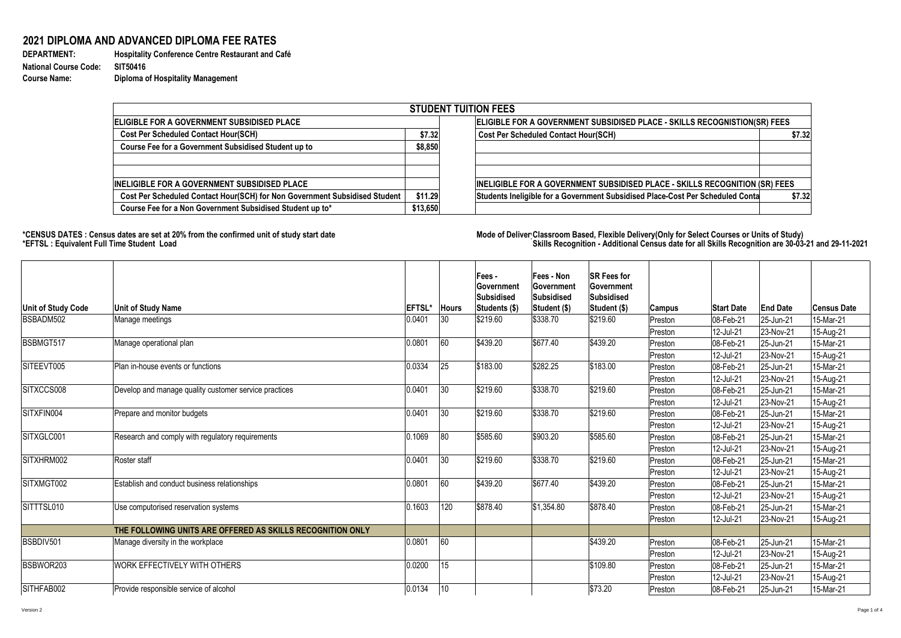**DEPARTMENT: Hospitality Conference Centre Restaurant and Café Course Name: Diploma of Hospitality Management**

## **2021 DIPLOMA AND ADVANCED DIPLOMA FEE RATES**

**National Course Code: SIT50416**

## \*CENSUS DATES : Census dates are set at 20% from the confirmed unit of study start date **Mode of Deliver Classroom Based, Flexible Delivery(Only for Select Courses or Units of Study) \*EFTSL : Equivalent Full Time Student Load Skills Recognition - Additional Census date for all Skills Recognition are 30-03-21 and 29-11-2021**

|                                                                            |          | <b>STUDENT TUITION FEES</b>                                                              |
|----------------------------------------------------------------------------|----------|------------------------------------------------------------------------------------------|
| <b>IELIGIBLE FOR A GOVERNMENT SUBSIDISED PLACE</b>                         |          | ELIGIBLE FOR A GOVERNMENT SUBSIDISED PLACE - SKILLS RECOGNISTION(SR) FEES                |
| <b>Cost Per Scheduled Contact Hour(SCH)</b>                                | \$7.32   | <b>Cost Per Scheduled Contact Hour(SCH)</b><br>\$7.32                                    |
| <b>Course Fee for a Government Subsidised Student up to</b>                | \$8,850  |                                                                                          |
| IINELIGIBLE FOR A GOVERNMENT SUBSIDISED PLACE                              |          | INELIGIBLE FOR A GOVERNMENT SUBSIDISED PLACE - SKILLS RECOGNITION (SR) FEES              |
| Cost Per Scheduled Contact Hour(SCH) for Non Government Subsidised Student | \$11.29  | Students Ineligible for a Government Subsidised Place-Cost Per Scheduled Conta<br>\$7.32 |
| Course Fee for a Non Government Subsidised Student up to*                  | \$13,650 |                                                                                          |

|                           |                                                            |               |              | <b>Fees-</b>                | <b>Fees - Non</b>                 | <b>SR Fees for</b>                       |         |                   |                 |             |
|---------------------------|------------------------------------------------------------|---------------|--------------|-----------------------------|-----------------------------------|------------------------------------------|---------|-------------------|-----------------|-------------|
|                           |                                                            |               |              | <b>Government</b>           | ∣Government                       | <b>Government</b>                        |         |                   |                 |             |
| <b>Unit of Study Code</b> | <b>Unit of Study Name</b>                                  | <b>EFTSL*</b> | <b>Hours</b> | Subsidised<br>Students (\$) | Subsidised<br><b>Student (\$)</b> | <b>Subsidised</b><br><b>Student (\$)</b> | Campus  | <b>Start Date</b> | <b>End Date</b> | Census Date |
| BSBADM502                 | Manage meetings                                            | 0.0401        | 30           | \$219.60                    | \$338.70                          | \$219.60                                 | Preston | 08-Feb-21         | $ 25 - Jun-21 $ | 15-Mar-21   |
|                           |                                                            |               |              |                             |                                   |                                          | Preston | 12-Jul-21         | 23-Nov-21       | 15-Aug-21   |
| BSBMGT517                 | Manage operational plan                                    | 0.0801        | 60           | \$439.20                    | \$677.40                          | \$439.20                                 | Preston | 08-Feb-21         | $ 25 - Jun-21 $ | 15-Mar-21   |
|                           |                                                            |               |              |                             |                                   |                                          | Preston | 12-Jul-21         | $ 23-Nov-21$    | 15-Aug-21   |
| SITEEVT005                | Plan in-house events or functions                          | 0.0334        | 25           | \$183.00                    | \$282.25                          | \$183.00                                 | Preston | 08-Feb-21         | $ 25 - Jun-21 $ | 15-Mar-21   |
|                           |                                                            |               |              |                             |                                   |                                          | Preston | 12-Jul-21         | $ 23-Nov-21$    | 15-Aug-21   |
| SITXCCS008                | Develop and manage quality customer service practices      | 0.0401        | 30           | \$219.60                    | \$338.70                          | \$219.60                                 | Preston | 08-Feb-21         | 25-Jun-21       | 15-Mar-21   |
|                           |                                                            |               |              |                             |                                   |                                          | Preston | 12-Jul-21         | $ 23-Nov-21 $   | 15-Aug-21   |
| SITXFIN004                | Prepare and monitor budgets                                | 0.0401        | 30           | \$219.60                    | \$338.70                          | \$219.60                                 | Preston | 08-Feb-21         | $ 25 - Jun-21 $ | 15-Mar-21   |
|                           |                                                            |               |              |                             |                                   |                                          | Preston | 12-Jul-21         | $ 23-Nov-21$    | 15-Aug-21   |
| SITXGLC001                | Research and comply with regulatory requirements           | 0.1069        | 80           | \$585.60                    | \$903.20                          | \$585.60                                 | Preston | 08-Feb-21         | 25-Jun-21       | 15-Mar-21   |
|                           |                                                            |               |              |                             |                                   |                                          | Preston | 12-Jul-21         | $ 23-Nov-21$    | 15-Aug-21   |
| SITXHRM002                | Roster staff                                               | 0.0401        | 30           | \$219.60                    | \$338.70                          | \$219.60                                 | Preston | 08-Feb-21         | $ 25 - Jun-21 $ | 15-Mar-21   |
|                           |                                                            |               |              |                             |                                   |                                          | Preston | 12-Jul-21         | $ 23-Nov-21$    | 15-Aug-21   |
| SITXMGT002                | Establish and conduct business relationships               | 0.0801        | 60           | \$439.20                    | \$677.40                          | \$439.20                                 | Preston | 08-Feb-21         | 25-Jun-21       | 15-Mar-21   |
|                           |                                                            |               |              |                             |                                   |                                          | Preston | 12-Jul-21         | $ 23-Nov-21$    | 15-Aug-21   |
| SITTTSL010                | Use computorised reservation systems                       | 0.1603        | 120          | \$878.40                    | $\frac{1}{3}$ 1,354.80            | \$878.40                                 | Preston | 08-Feb-21         | $ 25 - Jun-21 $ | 15-Mar-21   |
|                           |                                                            |               |              |                             |                                   |                                          | Preston | 12-Jul-21         | $ 23-Nov-21$    | 15-Aug-21   |
|                           | THE FOLLOWING UNITS ARE OFFERED AS SKILLS RECOGNITION ONLY |               |              |                             |                                   |                                          |         |                   |                 |             |
| BSBDIV501                 | Manage diversity in the workplace                          | 0.0801        | 60           |                             |                                   | \$439.20                                 | Preston | 08-Feb-21         | 25-Jun-21       | 15-Mar-21   |
|                           |                                                            |               |              |                             |                                   |                                          | Preston | 12-Jul-21         | 23-Nov-21       | 15-Aug-21   |
| BSBWOR203                 | WORK EFFECTIVELY WITH OTHERS                               | 0.0200        | 15           |                             |                                   | \$109.80                                 | Preston | 08-Feb-21         | $ 25 - Jun-21 $ | 15-Mar-21   |
|                           |                                                            |               |              |                             |                                   |                                          | Preston | 12-Jul-21         | $ 23-Nov-21$    | 15-Aug-21   |
| SITHFAB002                | Provide responsible service of alcohol                     | 0.0134        | 10           |                             |                                   | \$73.20                                  | Preston | 08-Feb-21         | $ 25 - Jun-21 $ | 15-Mar-21   |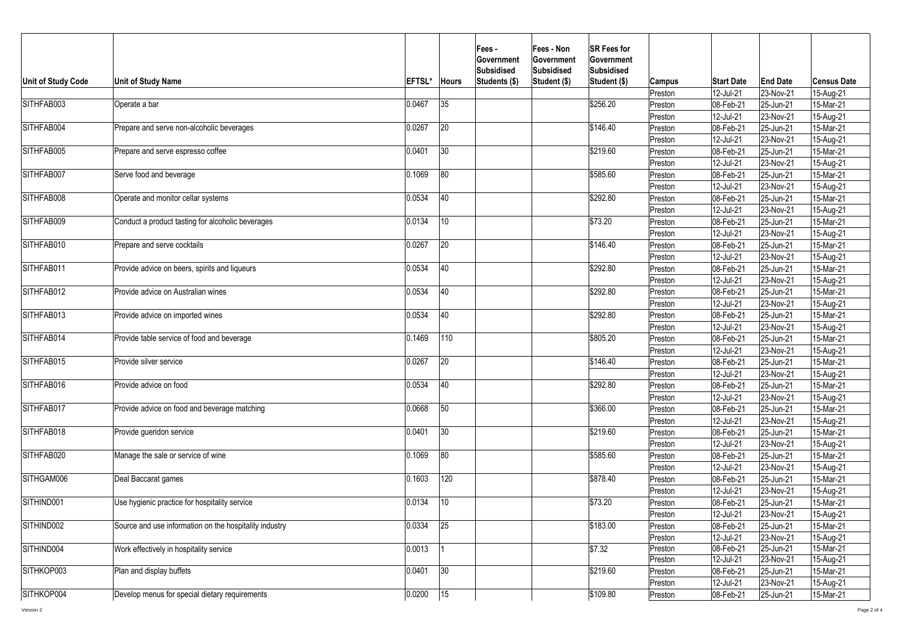| <b>Unit of Study Code</b> | Unit of Study Name                                     | <b>EFTSL*</b> | <b>Hours</b> | <b>Fees -</b><br><b>Government</b><br><b>Subsidised</b><br>Students (\$) | <b>Fees - Non</b><br><b>Government</b><br>Subsidised<br><b>Student (\$)</b> | <b>SR Fees for</b><br><b>Government</b><br>Subsidised<br>Student (\$) | <b>Campus</b> | <b>Start Date</b> | <b>End Date</b> | <b>Census Date</b> |
|---------------------------|--------------------------------------------------------|---------------|--------------|--------------------------------------------------------------------------|-----------------------------------------------------------------------------|-----------------------------------------------------------------------|---------------|-------------------|-----------------|--------------------|
|                           |                                                        |               |              |                                                                          |                                                                             |                                                                       | Preston       | 12-Jul-21         | 23-Nov-21       | 15-Aug-21          |
| SITHFAB003                | Operate a bar                                          | 0.0467        | 35           |                                                                          |                                                                             | \$256.20                                                              | Preston       | 08-Feb-21         | $ 25 - Jun-21 $ | 15-Mar-21          |
|                           |                                                        |               |              |                                                                          |                                                                             |                                                                       | Preston       | 12-Jul-21         | 23-Nov-21       | 15-Aug-21          |
| SITHFAB004                | Prepare and serve non-alcoholic beverages              | 0.0267        | 20           |                                                                          |                                                                             | \$146.40                                                              | Preston       | 08-Feb-21         | 25-Jun-21       | 15-Mar-21          |
|                           |                                                        |               |              |                                                                          |                                                                             |                                                                       | Preston       | 12-Jul-21         | 23-Nov-21       | 15-Aug-21          |
| SITHFAB005                | Prepare and serve espresso coffee                      | 0.0401        | 30           |                                                                          |                                                                             | \$219.60                                                              | Preston       | $ 08 - Feb - 21 $ | $ 25 - Jun-21 $ | 15-Mar-21          |
|                           |                                                        |               |              |                                                                          |                                                                             |                                                                       | Preston       | 12-Jul-21         | 23-Nov-21       | 15-Aug-21          |
| SITHFAB007                | Serve food and beverage                                | 0.1069        | 80           |                                                                          |                                                                             | \$585.60                                                              | Preston       | 08-Feb-21         | $ 25 - Jun-21 $ | 15-Mar-21          |
|                           |                                                        |               |              |                                                                          |                                                                             |                                                                       | Preston       | 12-Jul-21         | 23-Nov-21       | 15-Aug-21          |
| SITHFAB008                | Operate and monitor cellar systems                     | 0.0534        | 40           |                                                                          |                                                                             | \$292.80                                                              | Preston       | 08-Feb-21         | 25-Jun-21       | 15-Mar-21          |
|                           |                                                        |               |              |                                                                          |                                                                             |                                                                       | Preston       | 12-Jul-21         | 23-Nov-21       | 15-Aug-21          |
| SITHFAB009                | Conduct a product tasting for alcoholic beverages      | 0.0134        | 10           |                                                                          |                                                                             | \$73.20                                                               | Preston       | 08-Feb-21         | $ 25 - Jun-21 $ | 15-Mar-21          |
|                           |                                                        |               |              |                                                                          |                                                                             |                                                                       | Preston       | 12-Jul-21         | 23-Nov-21       | 15-Aug-21          |
| SITHFAB010                | Prepare and serve cocktails                            | 0.0267        | 20           |                                                                          |                                                                             | \$146.40                                                              | Preston       | 08-Feb-21         | $ 25 - Jun-21$  | 15-Mar-21          |
|                           |                                                        |               |              |                                                                          |                                                                             |                                                                       | Preston       | 12-Jul-21         | 23-Nov-21       | 15-Aug-21          |
| SITHFAB011                | Provide advice on beers, spirits and liqueurs          | 0.0534        | 40           |                                                                          |                                                                             | \$292.80                                                              | Preston       | 08-Feb-21         | 25-Jun-21       | 15-Mar-21          |
|                           |                                                        |               |              |                                                                          |                                                                             |                                                                       | Preston       | 12-Jul-21         | 23-Nov-21       | 15-Aug-21          |
| SITHFAB012                | Provide advice on Australian wines                     | 0.0534        | 40           |                                                                          |                                                                             | \$292.80                                                              | Preston       | 08-Feb-21         | 25-Jun-21       | 15-Mar-21          |
|                           |                                                        |               |              |                                                                          |                                                                             |                                                                       | Preston       | 12-Jul-21         | 23-Nov-21       | 15-Aug-21          |
| SITHFAB013                | Provide advice on imported wines                       | 0.0534        | 40           |                                                                          |                                                                             | \$292.80                                                              | Preston       | 08-Feb-21         | 25-Jun-21       | 15-Mar-21          |
|                           |                                                        |               |              |                                                                          |                                                                             |                                                                       | Preston       | 12-Jul-21         | 23-Nov-21       | 15-Aug-21          |
| SITHFAB014                | Provide table service of food and beverage             | 0.1469        | 110          |                                                                          |                                                                             | \$805.20                                                              | Preston       | 08-Feb-21         | 25-Jun-21       | 15-Mar-21          |
|                           |                                                        |               |              |                                                                          |                                                                             |                                                                       | Preston       | 12-Jul-21         | 23-Nov-21       | 15-Aug-21          |
| SITHFAB015                | Provide silver service                                 | 0.0267        | 20           |                                                                          |                                                                             | \$146.40                                                              | Preston       | 08-Feb-21         | $ 25 - Jun-21 $ | 15-Mar-21          |
|                           |                                                        |               |              |                                                                          |                                                                             |                                                                       | Preston       | 12-Jul-21         | 23-Nov-21       | 15-Aug-21          |
| SITHFAB016                | Provide advice on food                                 | 0.0534        | 40           |                                                                          |                                                                             | \$292.80                                                              | Preston       | 08-Feb-21         | 25-Jun-21       | 15-Mar-21          |
|                           |                                                        |               |              |                                                                          |                                                                             |                                                                       | Preston       | 12-Jul-21         | 23-Nov-21       | 15-Aug-21          |
| SITHFAB017                | Provide advice on food and beverage matching           | 0.0668        | 50           |                                                                          |                                                                             | \$366.00                                                              | Preston       | 08-Feb-21         | 25-Jun-21       | 15-Mar-21          |
|                           |                                                        |               |              |                                                                          |                                                                             |                                                                       | Preston       | 12-Jul-21         | 23-Nov-21       | 15-Aug-21          |
| SITHFAB018                | Provide gueridon service                               | 0.0401        | 30           |                                                                          |                                                                             | \$219.60                                                              | Preston       | 08-Feb-21         | 25-Jun-21       | 15-Mar-21          |
|                           |                                                        |               |              |                                                                          |                                                                             |                                                                       | Preston       | 12-Jul-21         | 23-Nov-21       | 15-Aug-21          |
| SITHFAB020                | Manage the sale or service of wine                     | 0.1069        | 80           |                                                                          |                                                                             | \$585.60                                                              | Preston       | 08-Feb-21         | $ 25 - Jun-21 $ | 15-Mar-21          |
|                           |                                                        |               |              |                                                                          |                                                                             |                                                                       | Preston       | 12-Jul-21         | $ 23-Nov-21$    | 15-Aug-21          |
| SITHGAM006                | Deal Baccarat games                                    | 0.1603        | 120          |                                                                          |                                                                             | \$878.40                                                              | Preston       | 08-Feb-21         | 25-Jun-21       | 15-Mar-21          |
|                           |                                                        |               |              |                                                                          |                                                                             |                                                                       | Preston       | 12-Jul-21         | 23-Nov-21       | 15-Aug-21          |
| SITHIND001                | Use hygienic practice for hospitality service          | 0.0134        | 10           |                                                                          |                                                                             | \$73.20                                                               | Preston       | 08-Feb-21         | $ 25 - Jun-21 $ | 15-Mar-21          |
|                           |                                                        |               |              |                                                                          |                                                                             |                                                                       | Preston       | 12-Jul-21         | 23-Nov-21       | 15-Aug-21          |
| SITHIND002                | Source and use information on the hospitality industry | 0.0334        | 25           |                                                                          |                                                                             | \$183.00                                                              | Preston       | 08-Feb-21         | $ 25 - Jun-21 $ | 15-Mar-21          |
|                           |                                                        |               |              |                                                                          |                                                                             |                                                                       | Preston       | 12-Jul-21         | 23-Nov-21       | 15-Aug-21          |
| SITHIND004                | Work effectively in hospitality service                | 0.0013        |              |                                                                          |                                                                             | \$7.32                                                                | Preston       | $ 08 - Feb - 21 $ | $ 25 - Jun-21 $ | 15-Mar-21          |
|                           |                                                        |               |              |                                                                          |                                                                             |                                                                       | Preston       | 12-Jul-21         | 23-Nov-21       | 15-Aug-21          |
| SITHKOP003                | Plan and display buffets                               | 0.0401        | 30           |                                                                          |                                                                             | \$219.60                                                              | Preston       | $ 08 - Feb - 21 $ | $ 25 - Jun-21 $ | 15-Mar-21          |
|                           |                                                        |               |              |                                                                          |                                                                             |                                                                       | Preston       | 12-Jul-21         | $ 23-Nov-21$    | 15-Aug-21          |
| SITHKOP004                | Develop menus for special dietary requirements         | 0.0200        | 15           |                                                                          |                                                                             | \$109.80                                                              | Preston       | 08-Feb-21         | $ 25 - Jun-21 $ | 15-Mar-21          |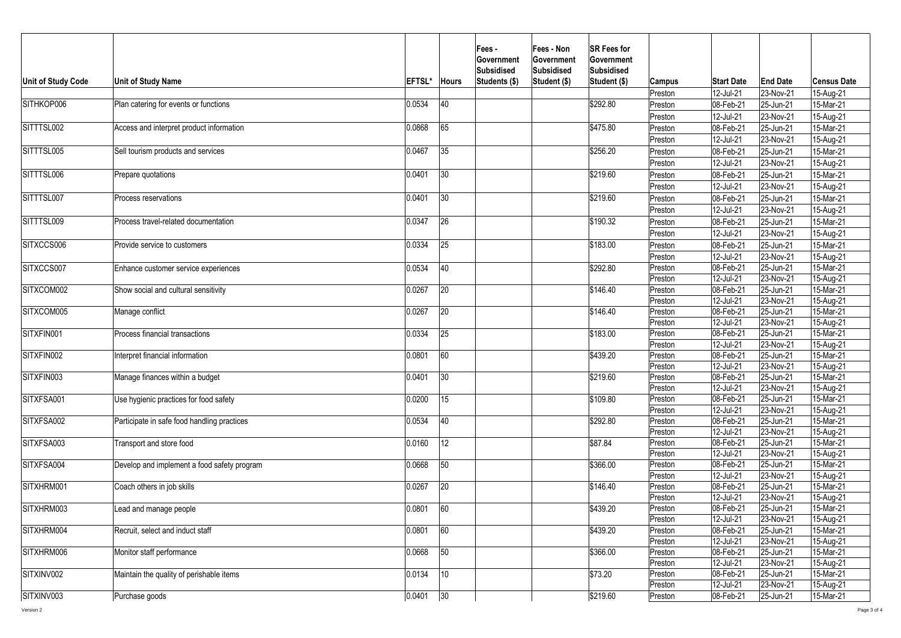| <b>Unit of Study Code</b> | <b>Unit of Study Name</b>                   | <b>EFTSL*</b> | <b>Hours</b> | <b>Fees -</b><br><b>Government</b><br><b>Subsidised</b><br>Students (\$) | <b>Fees - Non</b><br><b>Government</b><br>Subsidised<br>Student (\$) | <b>SR Fees for</b><br><b>Government</b><br><b>Subsidised</b><br>Student (\$) | <b>Campus</b>      | <b>Start Date</b>        | <b>End Date</b>                  | <b>Census Date</b>     |
|---------------------------|---------------------------------------------|---------------|--------------|--------------------------------------------------------------------------|----------------------------------------------------------------------|------------------------------------------------------------------------------|--------------------|--------------------------|----------------------------------|------------------------|
|                           |                                             |               |              |                                                                          |                                                                      |                                                                              | Preston            | 12-Jul-21                | 23-Nov-21                        | 15-Aug-21              |
| SITHKOP006                | Plan catering for events or functions       | 0.0534        | 40           |                                                                          |                                                                      | \$292.80                                                                     | Preston            | 08-Feb-21                | 25-Jun-21                        | 15-Mar-21              |
|                           |                                             |               |              |                                                                          |                                                                      |                                                                              | Preston            | 12-Jul-21                | 23-Nov-21                        | 15-Aug-21              |
| SITTTSL002                | Access and interpret product information    | 0.0868        | 65           |                                                                          |                                                                      | \$475.80                                                                     | Preston            | 08-Feb-21                | 25-Jun-21                        | 15-Mar-21              |
|                           |                                             |               |              |                                                                          |                                                                      |                                                                              | Preston            | 12-Jul-21                | 23-Nov-21                        | 15-Aug-21              |
| SITTTSL005                | Sell tourism products and services          | 0.0467        | 35           |                                                                          |                                                                      | \$256.20                                                                     | Preston            | $ 08 - Feb - 21 $        | $ 25 - Jun-21 $                  | 15-Mar-21              |
|                           |                                             |               |              |                                                                          |                                                                      |                                                                              | Preston            | 12-Jul-21                | 23-Nov-21                        | 15-Aug-21              |
| SITTTSL006                | Prepare quotations                          | 0.0401        | 30           |                                                                          |                                                                      | \$219.60                                                                     | Preston            | 08-Feb-21                | $ 25 - Jun-21 $                  | 15-Mar-21              |
|                           |                                             |               |              |                                                                          |                                                                      |                                                                              | Preston            | 12-Jul-21                | 23-Nov-21                        | 15-Aug-21              |
| SITTTSL007                | Process reservations                        | 0.0401        | 30           |                                                                          |                                                                      | \$219.60                                                                     | Preston            | 08-Feb-21                | 25-Jun-21                        | 15-Mar-21              |
|                           |                                             |               |              |                                                                          |                                                                      |                                                                              | Preston            | 12-Jul-21                | 23-Nov-21                        | 15-Aug-21              |
| SITTTSL009                | Process travel-related documentation        | 0.0347        | 26           |                                                                          |                                                                      | \$190.32                                                                     | Preston            | 08-Feb-21                | 25-Jun-21                        | 15-Mar-21              |
|                           |                                             |               |              |                                                                          |                                                                      |                                                                              | Preston            | 12-Jul-21                | 23-Nov-21                        | 15-Aug-21              |
| SITXCCS006                | Provide service to customers                | 0.0334        | 25           |                                                                          |                                                                      | \$183.00                                                                     | Preston            | 08-Feb-21                | $ 25 - Jun-21$                   | 15-Mar-21              |
|                           |                                             |               |              |                                                                          |                                                                      |                                                                              | Preston            | 12-Jul-21                | 23-Nov-21                        | 15-Aug-21              |
| SITXCCS007                | Enhance customer service experiences        | 0.0534        | 40           |                                                                          |                                                                      | \$292.80                                                                     | Preston            | 08-Feb-21                | $ 25 - Jun-21 $                  | 15-Mar-21              |
|                           |                                             |               |              |                                                                          |                                                                      |                                                                              | Preston            | 12-Jul-21                | 23-Nov-21                        | 15-Aug-21              |
| SITXCOM002                | Show social and cultural sensitivity        | 0.0267        | 20           |                                                                          |                                                                      | \$146.40                                                                     | Preston            | 08-Feb-21                | $ 25 - Jun-21 $                  | 15-Mar-21              |
|                           |                                             |               |              |                                                                          |                                                                      |                                                                              | Preston            | 12-Jul-21                | 23-Nov-21                        | 15-Aug-21              |
| SITXCOM005                | Manage conflict                             | 0.0267        | 20           |                                                                          |                                                                      | \$146.40                                                                     | Preston            | 08-Feb-21                | $ 25 - Jun-21 $                  | 15-Mar-21              |
|                           |                                             |               |              |                                                                          |                                                                      |                                                                              | Preston            | 12-Jul-21                | 23-Nov-21                        | 15-Aug-21              |
| SITXFIN001                | <b>Process financial transactions</b>       | 0.0334        | 25           |                                                                          |                                                                      | \$183.00                                                                     | Preston            | 08-Feb-21                | 25-Jun-21                        | 15-Mar-21              |
|                           |                                             |               |              |                                                                          |                                                                      |                                                                              | Preston            | 12-Jul-21                | 23-Nov-21                        | 15-Aug-21              |
| SITXFIN002                | Interpret financial information             | 0.0801        | 60           |                                                                          |                                                                      | \$439.20                                                                     | Preston            | 08-Feb-21                | 25-Jun-21                        | 15-Mar-21              |
|                           |                                             |               |              |                                                                          |                                                                      |                                                                              | Preston            | 12-Jul-21                | 23-Nov-21                        | 15-Aug-21              |
| SITXFIN003                | Manage finances within a budget             | 0.0401        | 30           |                                                                          |                                                                      | \$219.60                                                                     | Preston            | 08-Feb-21                | 25-Jun-21                        | 15-Mar-21              |
|                           |                                             |               |              |                                                                          |                                                                      |                                                                              | Preston            | 12-Jul-21                | 23-Nov-21                        | 15-Aug-21              |
| SITXFSA001                | Use hygienic practices for food safety      | 0.0200        | 15           |                                                                          |                                                                      | \$109.80                                                                     | Preston            | 08-Feb-21                | $ 25 - Jun-21$                   | 15-Mar-21              |
| SITXFSA002                | Participate in safe food handling practices |               | 40           |                                                                          |                                                                      | \$292.80                                                                     | Preston            | 12-Jul-21<br>08-Feb-21   | $ 23-Nov-21 $<br>$ 25 - Jun-21 $ | 15-Aug-21<br>15-Mar-21 |
|                           |                                             | 0.0534        |              |                                                                          |                                                                      |                                                                              | Preston<br>Preston | 12-Jul-21                | 23-Nov-21                        | 15-Aug-21              |
| SITXFSA003                | Transport and store food                    | 0.0160        | 12           |                                                                          |                                                                      | \$87.84                                                                      | Preston            | 08-Feb-21                | $ 25 - Jun-21 $                  | 15-Mar-21              |
|                           |                                             |               |              |                                                                          |                                                                      |                                                                              | Preston            | 12-Jul-21                | 23-Nov-21                        | 15-Aug-21              |
| <b>SITXFSA004</b>         | Develop and implement a food safety program | 0.0668        | 50           |                                                                          |                                                                      | \$366.00                                                                     | Preston            | 08-Feb-21                | 25-Jun-21                        | 15-Mar-21              |
|                           |                                             |               |              |                                                                          |                                                                      |                                                                              | Preston            | 12-Jul-21                | 23-Nov-21                        | 15-Aug-21              |
| SITXHRM001                | Coach others in job skills                  | 0.0267        | 20           |                                                                          |                                                                      | \$146.40                                                                     | Preston            | 08-Feb-21                | $ 25 - Jun-21 $                  | 15-Mar-21              |
|                           |                                             |               |              |                                                                          |                                                                      |                                                                              | Preston            | 12-Jul-21                | 23-Nov-21                        | 15-Aug-21              |
| SITXHRM003                | Lead and manage people                      | 0.0801        | 60           |                                                                          |                                                                      | \$439.20                                                                     | Preston            | 08-Feb-21                | $ 25 - Jun-21 $                  | 15-Mar-21              |
|                           |                                             |               |              |                                                                          |                                                                      |                                                                              | Preston            | 12-Jul-21                | 23-Nov-21                        | 15-Aug-21              |
| SITXHRM004                | Recruit, select and induct staff            | 0.0801        | 60           |                                                                          |                                                                      | \$439.20                                                                     | Preston            | 08-Feb-21                | $ 25 - Jun-21 $                  | 15-Mar-21              |
|                           |                                             |               |              |                                                                          |                                                                      |                                                                              | Preston            | 12-Jul-21                | $ 23-Nov-21$                     | 15-Aug-21              |
| SITXHRM006                | Monitor staff performance                   | 0.0668        | 50           |                                                                          |                                                                      | \$366.00                                                                     | Preston            | 08-Feb-21                | $ 25 - Jun-21 $                  | 15-Mar-21              |
|                           |                                             |               |              |                                                                          |                                                                      |                                                                              | Preston            | 12-Jul-21                | 23-Nov-21                        | 15-Aug-21              |
| SITXINV002                | Maintain the quality of perishable items    | 0.0134        | 10           |                                                                          |                                                                      | \$73.20                                                                      | Preston            | $ 08 - Feb - 21 $        | 25-Jun-21                        | 15-Mar-21              |
|                           |                                             |               |              |                                                                          |                                                                      |                                                                              | Preston            | 12-Jul-21                | 23-Nov-21                        | 15-Aug-21              |
| SITXINV003                | Purchase goods                              | 0.0401        | $ 30\rangle$ |                                                                          |                                                                      | \$219.60                                                                     | Preston            | $ 08 - \text{Feb} - 21 $ | $ 25 - Jun-21 $                  | 15-Mar-21              |